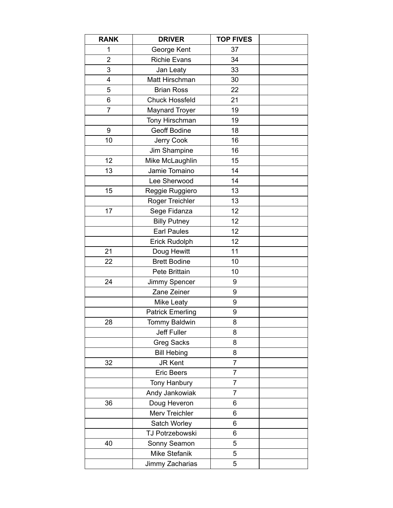| <b>RANK</b>    | <b>DRIVER</b>           | <b>TOP FIVES</b> |  |
|----------------|-------------------------|------------------|--|
| 1              | George Kent             | 37               |  |
| $\overline{2}$ | <b>Richie Evans</b>     | 34               |  |
| 3              | Jan Leaty               | 33               |  |
| 4              | Matt Hirschman          | 30               |  |
| 5              | <b>Brian Ross</b>       | 22               |  |
| 6              | <b>Chuck Hossfeld</b>   | 21               |  |
| 7              | <b>Maynard Troyer</b>   | 19               |  |
|                | Tony Hirschman          | 19               |  |
| 9              | Geoff Bodine            | 18               |  |
| 10             | Jerry Cook              | 16               |  |
|                | Jim Shampine            | 16               |  |
| 12             | Mike McLaughlin         | 15               |  |
| 13             | Jamie Tomaino           | 14               |  |
|                | Lee Sherwood            | 14               |  |
| 15             | Reggie Ruggiero         | 13               |  |
|                | Roger Treichler         | 13               |  |
| 17             | Sege Fidanza            | 12               |  |
|                | <b>Billy Putney</b>     | 12               |  |
|                | <b>Earl Paules</b>      | 12               |  |
|                | Erick Rudolph           | 12               |  |
| 21             | Doug Hewitt             | 11               |  |
| 22             | <b>Brett Bodine</b>     | 10               |  |
|                | Pete Brittain           | 10               |  |
| 24             | Jimmy Spencer           | 9                |  |
|                | Zane Zeiner             | 9                |  |
|                | <b>Mike Leaty</b>       | 9                |  |
|                | <b>Patrick Emerling</b> | 9                |  |
| 28             | <b>Tommy Baldwin</b>    | 8                |  |
|                | Jeff Fuller             | 8                |  |
|                | <b>Greg Sacks</b>       | 8                |  |
|                | <b>Bill Hebing</b>      | 8                |  |
| 32             | <b>JR Kent</b>          | 7                |  |
|                | <b>Eric Beers</b>       | $\overline{7}$   |  |
|                | Tony Hanbury            | 7                |  |
|                | Andy Jankowiak          | 7                |  |
| 36             | Doug Heveron            | 6                |  |
|                | Merv Treichler          | 6                |  |
|                | Satch Worley            | 6                |  |
|                | TJ Potrzebowski         | 6                |  |
| 40             | Sonny Seamon            | 5                |  |
|                | Mike Stefanik           | 5                |  |
|                | Jimmy Zacharias         | 5                |  |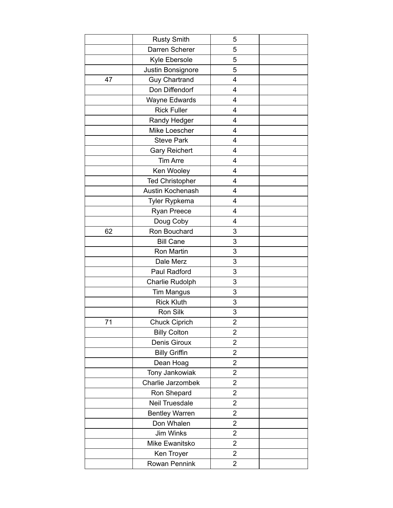|    | <b>Rusty Smith</b>     | 5                       |  |
|----|------------------------|-------------------------|--|
|    | Darren Scherer         | 5                       |  |
|    | Kyle Ebersole          | 5                       |  |
|    | Justin Bonsignore      | 5                       |  |
| 47 | <b>Guy Chartrand</b>   | 4                       |  |
|    | Don Diffendorf         | 4                       |  |
|    | <b>Wayne Edwards</b>   | 4                       |  |
|    | <b>Rick Fuller</b>     | 4                       |  |
|    | Randy Hedger           | 4                       |  |
|    | Mike Loescher          | 4                       |  |
|    | <b>Steve Park</b>      | 4                       |  |
|    | <b>Gary Reichert</b>   | 4                       |  |
|    | <b>Tim Arre</b>        | 4                       |  |
|    | Ken Wooley             | 4                       |  |
|    | <b>Ted Christopher</b> | 4                       |  |
|    | Austin Kochenash       | 4                       |  |
|    | Tyler Rypkema          | 4                       |  |
|    | Ryan Preece            | 4                       |  |
|    | Doug Coby              | $\overline{4}$          |  |
| 62 | Ron Bouchard           | 3                       |  |
|    | <b>Bill Cane</b>       | 3                       |  |
|    | Ron Martin             | 3                       |  |
|    | Dale Merz              | 3                       |  |
|    | Paul Radford           | 3                       |  |
|    | Charlie Rudolph        | 3                       |  |
|    | <b>Tim Mangus</b>      | 3                       |  |
|    | <b>Rick Kluth</b>      | 3                       |  |
|    | Ron Silk               | 3                       |  |
| 71 | <b>Chuck Ciprich</b>   | $\overline{\mathbf{c}}$ |  |
|    | <b>Billy Colton</b>    | $\overline{2}$          |  |
|    | Denis Giroux           | $\overline{2}$          |  |
|    | <b>Billy Griffin</b>   | 2                       |  |
|    | Dean Hoag              | $\overline{c}$          |  |
|    | Tony Jankowiak         | $\overline{c}$          |  |
|    | Charlie Jarzombek      | $\overline{2}$          |  |
|    | Ron Shepard            | $\overline{c}$          |  |
|    | <b>Neil Truesdale</b>  | $\overline{\mathbf{c}}$ |  |
|    | <b>Bentley Warren</b>  | $\overline{2}$          |  |
|    | Don Whalen             | $\overline{2}$          |  |
|    | Jim Winks              | $\overline{2}$          |  |
|    | Mike Ewanitsko         | $\overline{2}$          |  |
|    | Ken Troyer             | $\overline{\mathbf{c}}$ |  |
|    | Rowan Pennink          | $\overline{2}$          |  |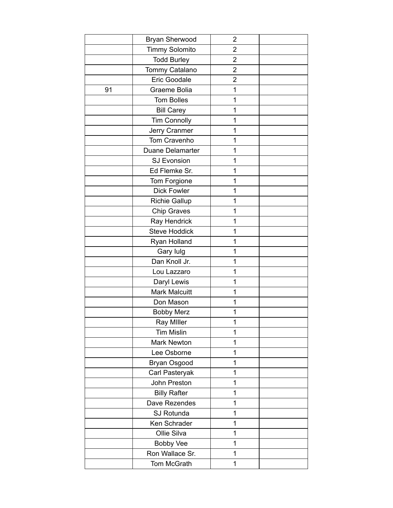|    | <b>Bryan Sherwood</b> | $\overline{c}$          |  |
|----|-----------------------|-------------------------|--|
|    | <b>Timmy Solomito</b> | $\overline{\mathbf{c}}$ |  |
|    | <b>Todd Burley</b>    | $\overline{2}$          |  |
|    | Tommy Catalano        | $\overline{2}$          |  |
|    | Eric Goodale          | $\overline{c}$          |  |
| 91 | Graeme Bolia          | 1                       |  |
|    | <b>Tom Bolles</b>     | 1                       |  |
|    | <b>Bill Carey</b>     | 1                       |  |
|    | <b>Tim Connolly</b>   | 1                       |  |
|    | Jerry Cranmer         | 1                       |  |
|    | Tom Cravenho          | 1                       |  |
|    | Duane Delamarter      | 1                       |  |
|    | <b>SJ Evonsion</b>    | 1                       |  |
|    | Ed Flemke Sr.         | 1                       |  |
|    | Tom Forgione          | 1                       |  |
|    | <b>Dick Fowler</b>    | 1                       |  |
|    | <b>Richie Gallup</b>  | 1                       |  |
|    | <b>Chip Graves</b>    | 1                       |  |
|    | Ray Hendrick          | 1                       |  |
|    | <b>Steve Hoddick</b>  | 1                       |  |
|    | Ryan Holland          | 1                       |  |
|    | Gary lulg             | 1                       |  |
|    | Dan Knoll Jr.         | 1                       |  |
|    | Lou Lazzaro           | 1                       |  |
|    | Daryl Lewis           | 1                       |  |
|    | <b>Mark Malcuitt</b>  | 1                       |  |
|    | Don Mason             | 1                       |  |
|    | <b>Bobby Merz</b>     | 1                       |  |
|    | <b>Ray Miller</b>     | 1                       |  |
|    | <b>Tim Mislin</b>     | 1                       |  |
|    | <b>Mark Newton</b>    | 1                       |  |
|    | Lee Osborne           | 1                       |  |
|    | Bryan Osgood          | 1                       |  |
|    | Carl Pasteryak        | 1                       |  |
|    | John Preston          | 1                       |  |
|    | <b>Billy Rafter</b>   | 1                       |  |
|    | Dave Rezendes         | 1                       |  |
|    | SJ Rotunda            | 1                       |  |
|    | Ken Schrader          | 1                       |  |
|    | Ollie Silva           | 1                       |  |
|    | <b>Bobby Vee</b>      | 1                       |  |
|    | Ron Wallace Sr.       | 1                       |  |
|    | Tom McGrath           | 1                       |  |